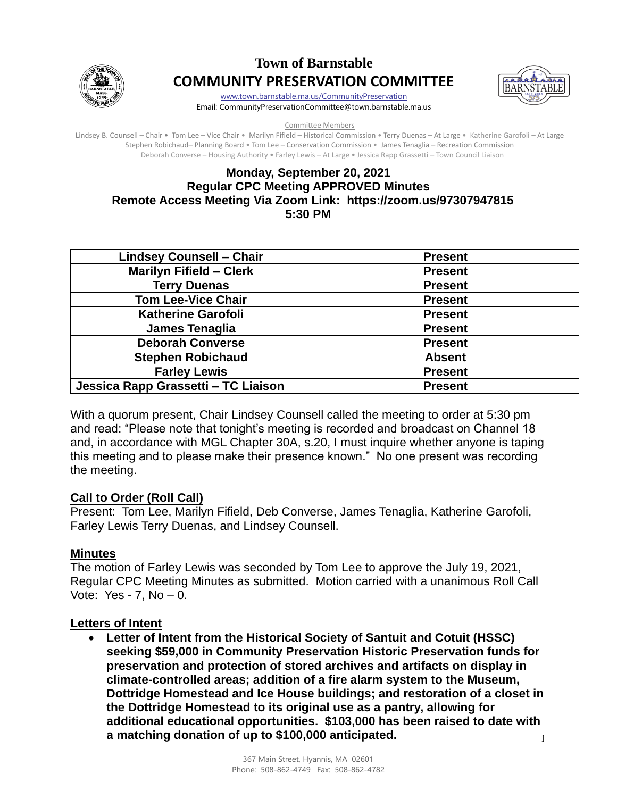

# **Town of Barnstable COMMUNITY PRESERVATION COMMITTEE**



[www.town.barnstable.ma.us/CommunityPreservation](http://www.town.barnstable.ma.us/CommunityPreservation) Email: CommunityPreservationCommittee@town.barnstable.ma.us

Committee Members

Lindsey B. Counsell – Chair • Tom Lee – Vice Chair • Marilyn Fifield – Historical Commission • Terry Duenas – At Large • Katherine Garofoli – At Large Stephen Robichaud– Planning Board • Tom Lee – Conservation Commission • James Tenaglia – Recreation Commission Deborah Converse – Housing Authority • Farley Lewis – At Large • Jessica Rapp Grassetti – Town Council Liaison

## **Monday, September 20, 2021 Regular CPC Meeting APPROVED Minutes Remote Access Meeting Via Zoom Link: https://zoom.us/97307947815 5:30 PM**

| <b>Lindsey Counsell - Chair</b>     | <b>Present</b> |
|-------------------------------------|----------------|
| <b>Marilyn Fifield - Clerk</b>      | <b>Present</b> |
| <b>Terry Duenas</b>                 | <b>Present</b> |
| <b>Tom Lee-Vice Chair</b>           | <b>Present</b> |
| <b>Katherine Garofoli</b>           | <b>Present</b> |
| James Tenaglia                      | <b>Present</b> |
| <b>Deborah Converse</b>             | <b>Present</b> |
| <b>Stephen Robichaud</b>            | <b>Absent</b>  |
| <b>Farley Lewis</b>                 | <b>Present</b> |
| Jessica Rapp Grassetti - TC Liaison | <b>Present</b> |

With a quorum present, Chair Lindsey Counsell called the meeting to order at 5:30 pm and read: "Please note that tonight's meeting is recorded and broadcast on Channel 18 and, in accordance with MGL Chapter 30A, s.20, I must inquire whether anyone is taping this meeting and to please make their presence known." No one present was recording the meeting.

#### **Call to Order (Roll Call)**

Present: Tom Lee, Marilyn Fifield, Deb Converse, James Tenaglia, Katherine Garofoli, Farley Lewis Terry Duenas, and Lindsey Counsell.

# **Minutes**

The motion of Farley Lewis was seconded by Tom Lee to approve the July 19, 2021, Regular CPC Meeting Minutes as submitted. Motion carried with a unanimous Roll Call Vote: Yes -  $7$ , No  $-$  0.

#### **Letters of Intent**

1 • **Letter of Intent from the Historical Society of Santuit and Cotuit (HSSC) seeking \$59,000 in Community Preservation Historic Preservation funds for preservation and protection of stored archives and artifacts on display in climate-controlled areas; addition of a fire alarm system to the Museum, Dottridge Homestead and Ice House buildings; and restoration of a closet in the Dottridge Homestead to its original use as a pantry, allowing for additional educational opportunities. \$103,000 has been raised to date with a matching donation of up to \$100,000 anticipated.**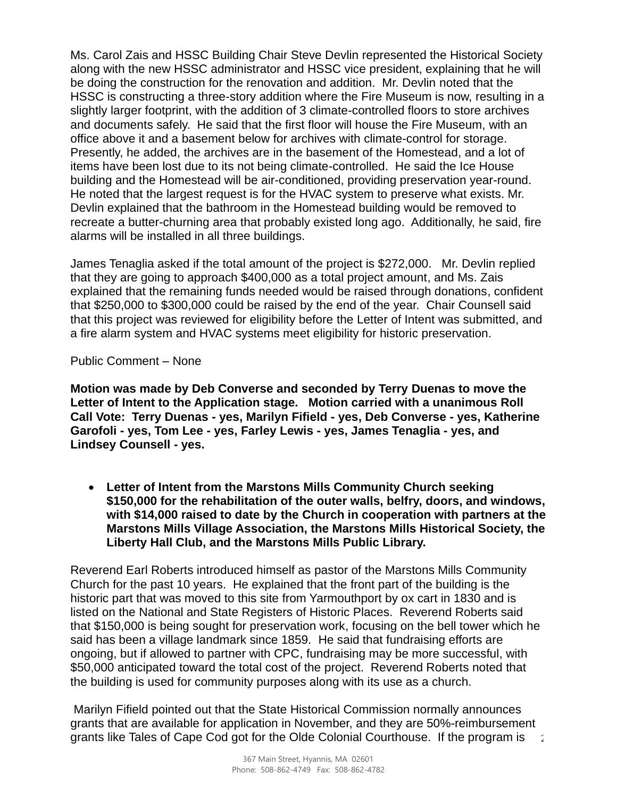Ms. Carol Zais and HSSC Building Chair Steve Devlin represented the Historical Society along with the new HSSC administrator and HSSC vice president, explaining that he will be doing the construction for the renovation and addition. Mr. Devlin noted that the HSSC is constructing a three-story addition where the Fire Museum is now, resulting in a slightly larger footprint, with the addition of 3 climate-controlled floors to store archives and documents safely. He said that the first floor will house the Fire Museum, with an office above it and a basement below for archives with climate-control for storage. Presently, he added, the archives are in the basement of the Homestead, and a lot of items have been lost due to its not being climate-controlled. He said the Ice House building and the Homestead will be air-conditioned, providing preservation year-round. He noted that the largest request is for the HVAC system to preserve what exists. Mr. Devlin explained that the bathroom in the Homestead building would be removed to recreate a butter-churning area that probably existed long ago. Additionally, he said, fire alarms will be installed in all three buildings.

James Tenaglia asked if the total amount of the project is \$272,000. Mr. Devlin replied that they are going to approach \$400,000 as a total project amount, and Ms. Zais explained that the remaining funds needed would be raised through donations, confident that \$250,000 to \$300,000 could be raised by the end of the year. Chair Counsell said that this project was reviewed for eligibility before the Letter of Intent was submitted, and a fire alarm system and HVAC systems meet eligibility for historic preservation.

Public Comment – None

**Motion was made by Deb Converse and seconded by Terry Duenas to move the Letter of Intent to the Application stage. Motion carried with a unanimous Roll Call Vote: Terry Duenas - yes, Marilyn Fifield - yes, Deb Converse - yes, Katherine Garofoli - yes, Tom Lee - yes, Farley Lewis - yes, James Tenaglia - yes, and Lindsey Counsell - yes.** 

• **Letter of Intent from the Marstons Mills Community Church seeking \$150,000 for the rehabilitation of the outer walls, belfry, doors, and windows, with \$14,000 raised to date by the Church in cooperation with partners at the Marstons Mills Village Association, the Marstons Mills Historical Society, the Liberty Hall Club, and the Marstons Mills Public Library.**

Reverend Earl Roberts introduced himself as pastor of the Marstons Mills Community Church for the past 10 years. He explained that the front part of the building is the historic part that was moved to this site from Yarmouthport by ox cart in 1830 and is listed on the National and State Registers of Historic Places. Reverend Roberts said that \$150,000 is being sought for preservation work, focusing on the bell tower which he said has been a village landmark since 1859. He said that fundraising efforts are ongoing, but if allowed to partner with CPC, fundraising may be more successful, with \$50,000 anticipated toward the total cost of the project. Reverend Roberts noted that the building is used for community purposes along with its use as a church.

2 Marilyn Fifield pointed out that the State Historical Commission normally announces grants that are available for application in November, and they are 50%-reimbursement grants like Tales of Cape Cod got for the Olde Colonial Courthouse. If the program is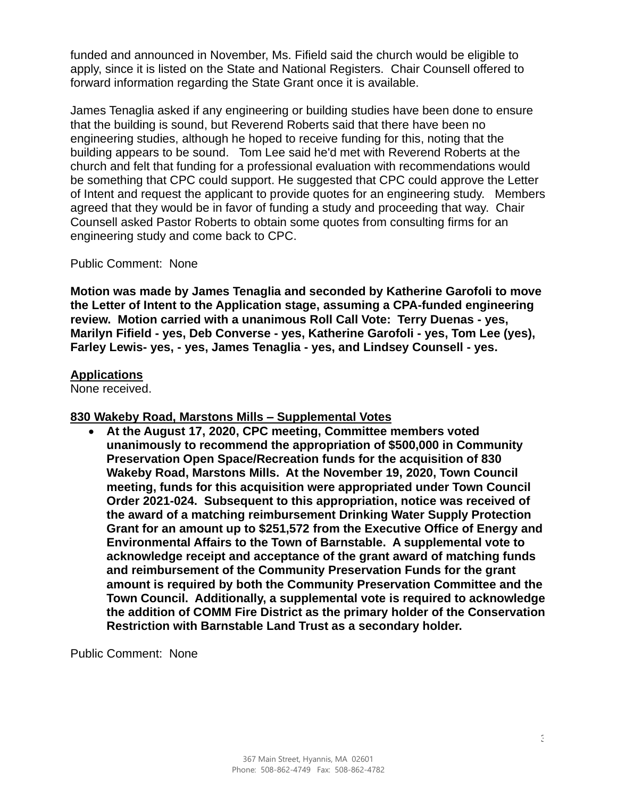funded and announced in November, Ms. Fifield said the church would be eligible to apply, since it is listed on the State and National Registers. Chair Counsell offered to forward information regarding the State Grant once it is available.

James Tenaglia asked if any engineering or building studies have been done to ensure that the building is sound, but Reverend Roberts said that there have been no engineering studies, although he hoped to receive funding for this, noting that the building appears to be sound. Tom Lee said he'd met with Reverend Roberts at the church and felt that funding for a professional evaluation with recommendations would be something that CPC could support. He suggested that CPC could approve the Letter of Intent and request the applicant to provide quotes for an engineering study. Members agreed that they would be in favor of funding a study and proceeding that way. Chair Counsell asked Pastor Roberts to obtain some quotes from consulting firms for an engineering study and come back to CPC.

Public Comment: None

**Motion was made by James Tenaglia and seconded by Katherine Garofoli to move the Letter of Intent to the Application stage, assuming a CPA-funded engineering review. Motion carried with a unanimous Roll Call Vote: Terry Duenas - yes, Marilyn Fifield - yes, Deb Converse - yes, Katherine Garofoli - yes, Tom Lee (yes), Farley Lewis- yes, - yes, James Tenaglia - yes, and Lindsey Counsell - yes.** 

#### **Applications**

None received.

#### **830 Wakeby Road, Marstons Mills – Supplemental Votes**

• **At the August 17, 2020, CPC meeting, Committee members voted unanimously to recommend the appropriation of \$500,000 in Community Preservation Open Space/Recreation funds for the acquisition of 830 Wakeby Road, Marstons Mills. At the November 19, 2020, Town Council meeting, funds for this acquisition were appropriated under Town Council Order 2021-024. Subsequent to this appropriation, notice was received of the award of a matching reimbursement Drinking Water Supply Protection Grant for an amount up to \$251,572 from the Executive Office of Energy and Environmental Affairs to the Town of Barnstable. A supplemental vote to acknowledge receipt and acceptance of the grant award of matching funds and reimbursement of the Community Preservation Funds for the grant amount is required by both the Community Preservation Committee and the Town Council. Additionally, a supplemental vote is required to acknowledge the addition of COMM Fire District as the primary holder of the Conservation Restriction with Barnstable Land Trust as a secondary holder.**

Public Comment: None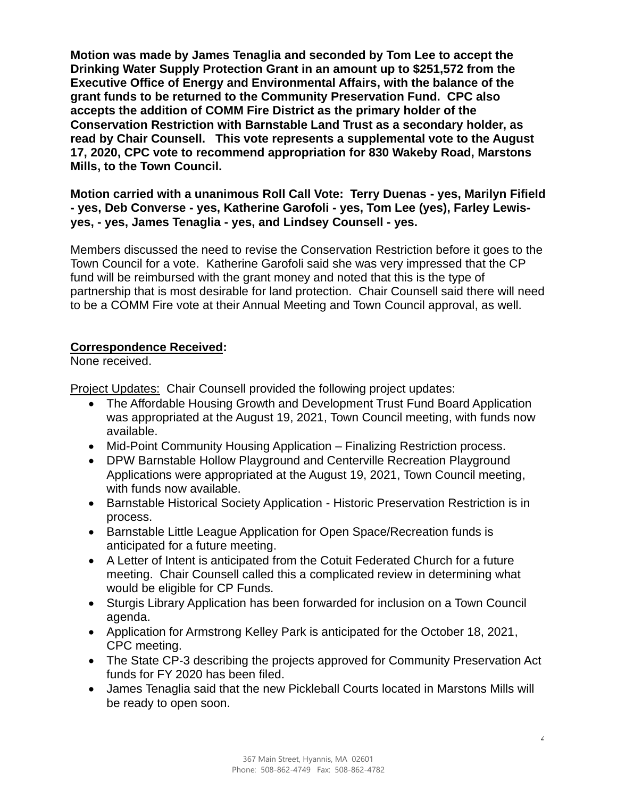**Motion was made by James Tenaglia and seconded by Tom Lee to accept the Drinking Water Supply Protection Grant in an amount up to \$251,572 from the Executive Office of Energy and Environmental Affairs, with the balance of the grant funds to be returned to the Community Preservation Fund. CPC also accepts the addition of COMM Fire District as the primary holder of the Conservation Restriction with Barnstable Land Trust as a secondary holder, as read by Chair Counsell. This vote represents a supplemental vote to the August 17, 2020, CPC vote to recommend appropriation for 830 Wakeby Road, Marstons Mills, to the Town Council.**

**Motion carried with a unanimous Roll Call Vote: Terry Duenas - yes, Marilyn Fifield - yes, Deb Converse - yes, Katherine Garofoli - yes, Tom Lee (yes), Farley Lewisyes, - yes, James Tenaglia - yes, and Lindsey Counsell - yes.** 

Members discussed the need to revise the Conservation Restriction before it goes to the Town Council for a vote. Katherine Garofoli said she was very impressed that the CP fund will be reimbursed with the grant money and noted that this is the type of partnership that is most desirable for land protection. Chair Counsell said there will need to be a COMM Fire vote at their Annual Meeting and Town Council approval, as well.

## **Correspondence Received:**

None received.

Project Updates: Chair Counsell provided the following project updates:

- The Affordable Housing Growth and Development Trust Fund Board Application was appropriated at the August 19, 2021, Town Council meeting, with funds now available.
- Mid-Point Community Housing Application Finalizing Restriction process.
- DPW Barnstable Hollow Playground and Centerville Recreation Playground Applications were appropriated at the August 19, 2021, Town Council meeting, with funds now available.
- Barnstable Historical Society Application Historic Preservation Restriction is in process.
- Barnstable Little League Application for Open Space/Recreation funds is anticipated for a future meeting.
- A Letter of Intent is anticipated from the Cotuit Federated Church for a future meeting. Chair Counsell called this a complicated review in determining what would be eligible for CP Funds.
- Sturgis Library Application has been forwarded for inclusion on a Town Council agenda.
- Application for Armstrong Kelley Park is anticipated for the October 18, 2021, CPC meeting.
- The State CP-3 describing the projects approved for Community Preservation Act funds for FY 2020 has been filed.
- James Tenaglia said that the new Pickleball Courts located in Marstons Mills will be ready to open soon.